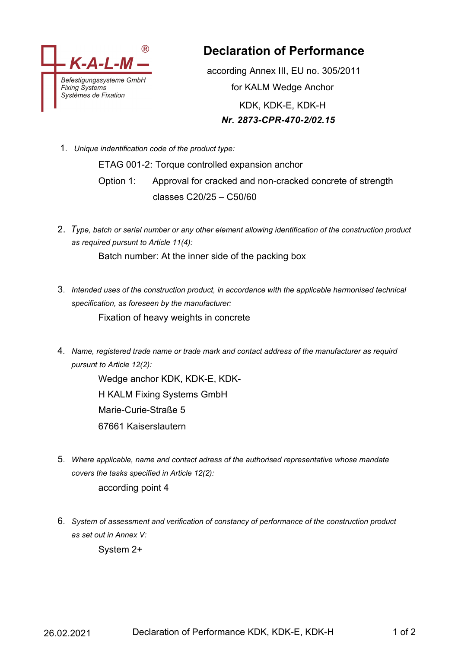

**Declaration of Performance**

according Annex III, EU no. 305/2011 for KALM Wedge Anchor KDK, KDK-E, KDK-H *Nr. 2873-CPR-470-2/02.15*

1. *Unique indentification code of the product type:*

ETAG 001-2: Torque controlled expansion anchor Option 1: Approval for cracked and non-cracked concrete of strength classes C20/25 – C50/60

2. *Type, batch or serial number or any other element allowing identification of the construction product as required pursunt to Article 11(4):*

Batch number: At the inner side of the packing box

3. *Intended uses of the construction product, in accordance with the applicable harmonised technical specification, as foreseen by the manufacturer:*

Fixation of heavy weights in concrete

4. *Name, registered trade name or trade mark and contact address of the manufacturer as requird pursunt to Article 12(2):*

> Wedge anchor KDK, KDK-E, KDK-H KALM Fixing Systems GmbH Marie-Curie-Straße 5 67661 Kaiserslautern

- 5. *Where applicable, name and contact adress of the authorised representative whose mandate covers the tasks specified in Article 12(2):* according point 4
- 6. *System of assessment and verification of constancy of performance of the construction product as set out in Annex V:*

System 2+